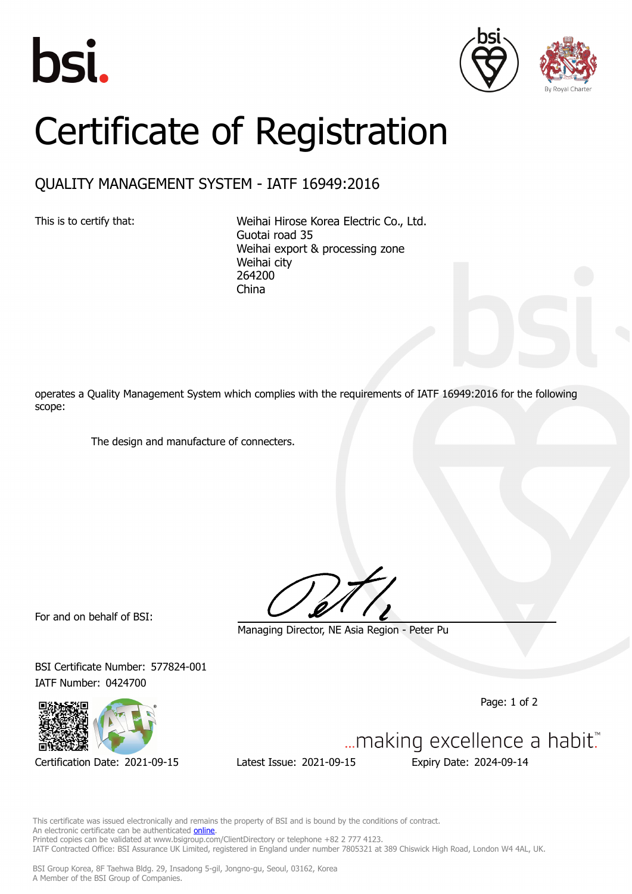





## Certificate of Registration

## QUALITY MANAGEMENT SYSTEM - IATF 16949:2016

This is to certify that: Weihai Hirose Korea Electric Co., Ltd. Guotai road 35 Weihai export & processing zone Weihai city 264200 China

operates a Quality Management System which complies with the requirements of IATF 16949:2016 for the following scope:

The design and manufacture of connecters.

For and on behalf of BSI:

Managing Director, NE Asia Region - Peter Pu

BSI Certificate Number: 577824-001 IATF Number: 0424700

Page: 1 of 2



Certification Date: 2021-09-15 Latest Issue: 2021-09-15 Expiry Date: 2024-09-14

An electronic certificate can be authenticated **[online](https://pgplus.bsigroup.com/CertificateValidation/CertificateValidator.aspx?CertificateNumber=IATF+577824-001&ReIssueDate=15%2f09%2f2021&Template=korea_en)**.

Printed copies can be validated at www.bsigroup.com/ClientDirectory or telephone +82 2 777 4123. IATF Contracted Office: BSI Assurance UK Limited, registered in England under number 7805321 at 389 Chiswick High Road, London W4 4AL, UK. BSI Group Korea, 8F Taehwa Bldg. 29, Insadong 5-gil, Jongno-gu, Seoul, 03162, Korea A Member of the BSI Group of Companies.

This certificate was issued electronically and remains the property of BSI and is bound by the conditions of contract.

... making excellence a habit."